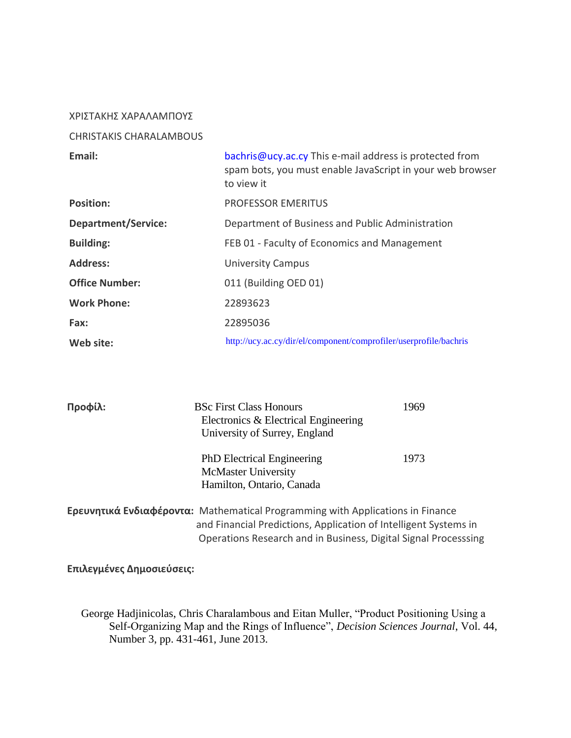## ΧΡΙΣΤΑΚΗΣ ΧΑΡΑΛΑΜΠΟΥΣ

## CHRISTAKIS CHARALAMBOUS

| Email:                     | bachris@ucy.ac.cy This e-mail address is protected from<br>spam bots, you must enable JavaScript in your web browser<br>to view it |
|----------------------------|------------------------------------------------------------------------------------------------------------------------------------|
| <b>Position:</b>           | <b>PROFESSOR EMERITUS</b>                                                                                                          |
| <b>Department/Service:</b> | Department of Business and Public Administration                                                                                   |
| <b>Building:</b>           | FEB 01 - Faculty of Economics and Management                                                                                       |
| <b>Address:</b>            | <b>University Campus</b>                                                                                                           |
| <b>Office Number:</b>      | 011 (Building OED 01)                                                                                                              |
| <b>Work Phone:</b>         | 22893623                                                                                                                           |
| Fax:                       | 22895036                                                                                                                           |
| Web site:                  | http://ucy.ac.cy/dir/el/component/comprofiler/userprofile/bachris                                                                  |

| Προφίλ: | <b>BSc First Class Honours</b><br>Electronics & Electrical Engineering<br>University of Surrey, England                                                                                                                      | 1969 |
|---------|------------------------------------------------------------------------------------------------------------------------------------------------------------------------------------------------------------------------------|------|
|         | <b>PhD</b> Electrical Engineering<br><b>McMaster University</b><br>Hamilton, Ontario, Canada                                                                                                                                 | 1973 |
|         | <b>Ερευνητικά Ενδιαφέροντα:</b> Mathematical Programming with Applications in Finance<br>and Financial Predictions, Application of Intelligent Systems in<br>Operations Research and in Business, Digital Signal Processsing |      |

**Επιλεγμένες Δημοσιεύσεις:**

 George Hadjinicolas, Chris Charalambous and Eitan Muller, "Product Positioning Using a Self-Organizing Map and the Rings of Influence", *Decision Sciences Journal*, Vol. 44, Number 3, pp. 431-461, June 2013.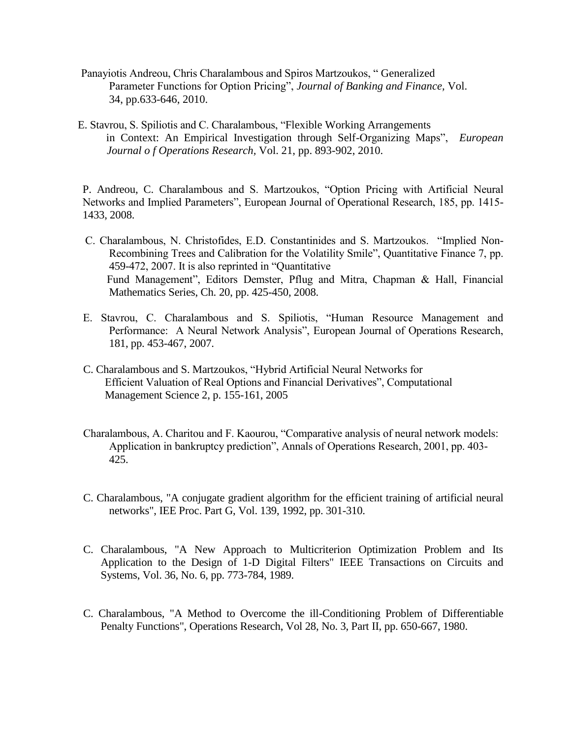- Panayiotis Andreou, Chris Charalambous and Spiros Martzoukos, " Generalized Parameter Functions for Option Pricing", *Journal of Banking and Finance,* Vol. 34, pp.633-646, 2010.
- E. Stavrou, S. Spiliotis and C. Charalambous, "Flexible Working Arrangements in Context: An Empirical Investigation through Self-Organizing Maps", *European Journal o f Operations Research,* Vol. 21, pp. 893-902, 2010.

P. Andreou, C. Charalambous and S. Martzoukos, "Option Pricing with Artificial Neural Networks and Implied Parameters", European Journal of Operational Research, 185, pp. 1415- 1433, 2008.

- C. Charalambous, N. Christofides, E.D. Constantinides and S. Martzoukos. "Implied Non-Recombining Trees and Calibration for the Volatility Smile", Quantitative Finance 7, pp. 459-472, 2007. It is also reprinted in "Quantitative Fund Management", Editors Demster, Pflug and Mitra, Chapman & Hall, Financial Mathematics Series, Ch. 20, pp. 425-450, 2008.
- E. Stavrou, C. Charalambous and S. Spiliotis, "Human Resource Management and Performance: A Neural Network Analysis", European Journal of Operations Research, 181, pp. 453-467, 2007.
- C. Charalambous and S. Martzoukos, "Hybrid Artificial Neural Networks for Efficient Valuation of Real Options and Financial Derivatives", Computational Management Science 2, p. 155-161, 2005
- Charalambous, A. Charitou and F. Kaourou, "Comparative analysis of neural network models: Application in bankruptcy prediction", Annals of Operations Research, 2001, pp. 403- 425.
- C. Charalambous, "A conjugate gradient algorithm for the efficient training of artificial neural networks", IEE Proc. Part G, Vol. 139, 1992, pp. 301-310.
- C. Charalambous, "A New Approach to Multicriterion Optimization Problem and Its Application to the Design of 1-D Digital Filters" IEEE Transactions on Circuits and Systems, Vol. 36, No. 6, pp. 773-784, 1989.
- C. Charalambous, "A Method to Overcome the ill-Conditioning Problem of Differentiable Penalty Functions", Operations Research, Vol 28, No. 3, Part II, pp. 650-667, 1980.